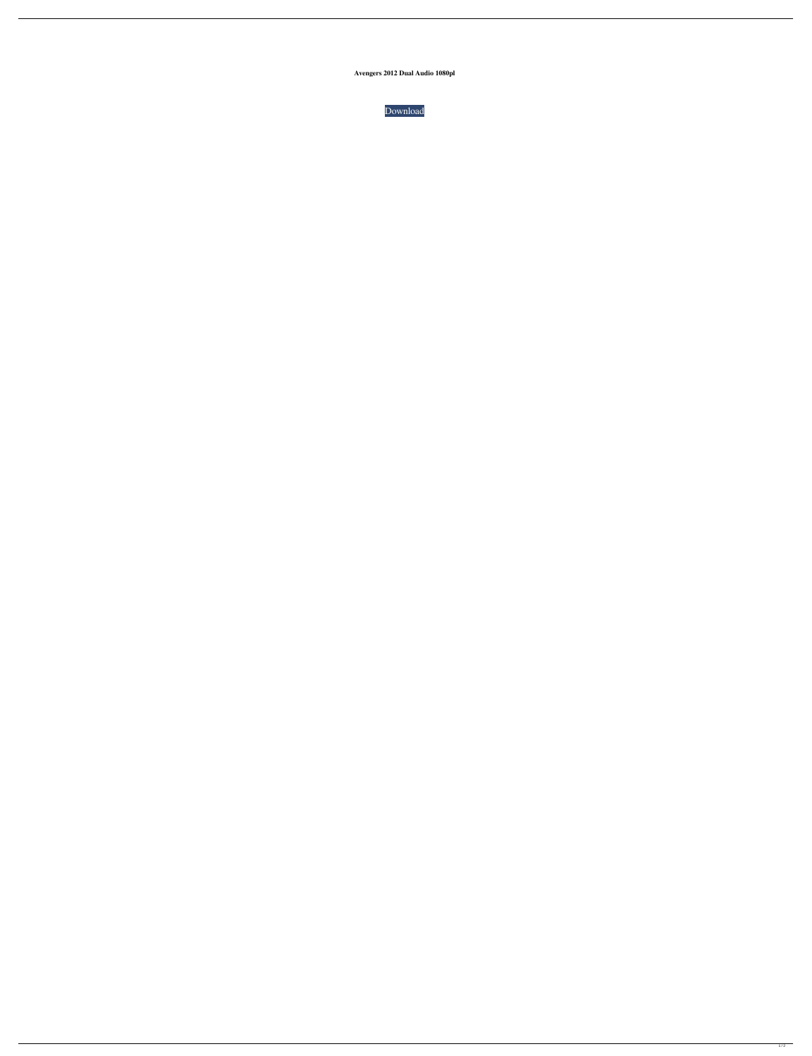**Avengers 2012 Dual Audio 1080pl**